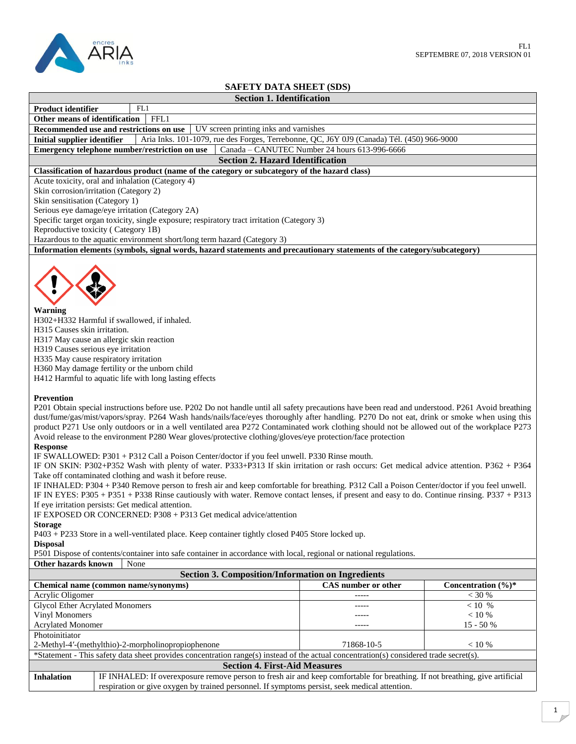

# **SAFETY DATA SHEET (SDS)**

# **Section 1. Identification**

**Product identifier** FL1 **Other means of identification** FFL1

**Recommended use and restrictions on use** UV screen printing inks and varnishes

**Initial supplier identifier** Aria Inks. 101-1079, rue des Forges, Terrebonne, QC, J6Y 0J9 (Canada) Tél. (450) 966-9000<br>**Emergency telephone number/restriction on use** Canada – CANUTEC Number 24 hours 613-996-6666 **Emergency telephone number/restriction on use** 

### **Section 2. Hazard Identification**

### **Classification of hazardous product (name of the category or subcategory of the hazard class)**

Acute toxicity, oral and inhalation (Category 4)

Skin corrosion/irritation (Category 2)

Skin sensitisation (Category 1)

Serious eye damage/eye irritation (Category 2A)

Specific target organ toxicity, single exposure; respiratory tract irritation (Category 3)

Reproductive toxicity ( Category 1B)

Hazardous to the aquatic environment short/long term hazard (Category 3)

**Information elements** (**symbols, signal words, hazard statements and precautionary statements of the category/subcategory)**



H302+H332 Harmful if swallowed, if inhaled.

H315 Causes skin irritation.

H317 May cause an allergic skin reaction

H319 Causes serious eye irritation

H335 May cause respiratory irritation

H360 May damage fertility or the unborn child

H412 Harmful to aquatic life with long lasting effects

### **Prevention**

P201 Obtain special instructions before use. P202 Do not handle until all safety precautions have been read and understood. P261 Avoid breathing dust/fume/gas/mist/vapors/spray. P264 Wash hands/nails/face/eyes thoroughly after handling. P270 Do not eat, drink or smoke when using this product P271 Use only outdoors or in a well ventilated area P272 Contaminated work clothing should not be allowed out of the workplace P273 Avoid release to the environment P280 Wear gloves/protective clothing/gloves/eye protection/face protection

### **Response**

IF SWALLOWED: P301 + P312 Call a Poison Center/doctor if you feel unwell. P330 Rinse mouth.

IF ON SKIN: P302+P352 Wash with plenty of water. P333+P313 If skin irritation or rash occurs: Get medical advice attention. P362 + P364 Take off contaminated clothing and wash it before reuse.

IF INHALED: P304 + P340 Remove person to fresh air and keep comfortable for breathing. P312 Call a Poison Center/doctor if you feel unwell. IF IN EYES: P305 + P351 + P338 Rinse cautiously with water. Remove contact lenses, if present and easy to do. Continue rinsing. P337 + P313 If eye irritation persists: Get medical attention.

IF EXPOSED OR CONCERNED: P308 + P313 Get medical advice/attention

## **Storage**

P403 + P233 Store in a well-ventilated place. Keep container tightly closed P405 Store locked up.

**Disposal**

P501 Dispose of contents/container into safe container in accordance with local, regional or national regulations.

**Other hazards known** None

**Section 3. Composition/Information on Ingredients Chemical name (common name/synonyms)** CAS number or other **Concentration (%)\*** Acrylic Oligomer  $\sim$  30 % Glycol Ether Acrylated Monomers Vinyl Monomers Acrylated Monomer ----- ----- -----  $< 10$  %  $< 10 %$ 15 - 50 % Photoinitiator 2-Methyl-4'-(methylthio)-2-morpholinopropiophenone 71868-10-5 < 10 % \*Statement - This safety data sheet provides concentration range(s) instead of the actual concentration(s) considered trade secret(s). **Section 4. First-Aid Measures Inhalation** IF INHALED: If overexposure remove person to fresh air and keep comfortable for breathing. If not breathing, give artificial respiration or give oxygen by trained personnel. If symptoms persist, seek medical attention.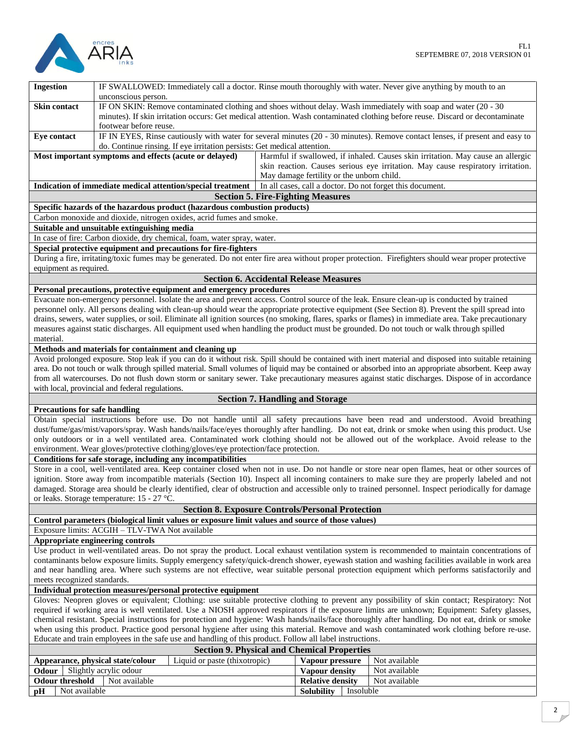

| <b>Ingestion</b>                                                                                                                                                                                               | IF SWALLOWED: Immediately call a doctor. Rinse mouth thoroughly with water. Never give anything by mouth to an<br>unconscious person.                                                                                                                                      |  |                                               |                                                                                 |
|----------------------------------------------------------------------------------------------------------------------------------------------------------------------------------------------------------------|----------------------------------------------------------------------------------------------------------------------------------------------------------------------------------------------------------------------------------------------------------------------------|--|-----------------------------------------------|---------------------------------------------------------------------------------|
| <b>Skin contact</b>                                                                                                                                                                                            |                                                                                                                                                                                                                                                                            |  |                                               |                                                                                 |
|                                                                                                                                                                                                                | IF ON SKIN: Remove contaminated clothing and shoes without delay. Wash immediately with soap and water (20 - 30<br>minutes). If skin irritation occurs: Get medical attention. Wash contaminated clothing before reuse. Discard or decontaminate<br>footwear before reuse. |  |                                               |                                                                                 |
| Eye contact                                                                                                                                                                                                    |                                                                                                                                                                                                                                                                            |  |                                               |                                                                                 |
|                                                                                                                                                                                                                | IF IN EYES, Rinse cautiously with water for several minutes (20 - 30 minutes). Remove contact lenses, if present and easy to<br>do. Continue rinsing. If eye irritation persists: Get medical attention.                                                                   |  |                                               |                                                                                 |
| Harmful if swallowed, if inhaled. Causes skin irritation. May cause an allergic<br>Most important symptoms and effects (acute or delayed)                                                                      |                                                                                                                                                                                                                                                                            |  |                                               |                                                                                 |
|                                                                                                                                                                                                                |                                                                                                                                                                                                                                                                            |  |                                               | skin reaction. Causes serious eye irritation. May cause respiratory irritation. |
|                                                                                                                                                                                                                |                                                                                                                                                                                                                                                                            |  | May damage fertility or the unborn child.     |                                                                                 |
|                                                                                                                                                                                                                | Indication of immediate medical attention/special treatment                                                                                                                                                                                                                |  |                                               | In all cases, call a doctor. Do not forget this document.                       |
|                                                                                                                                                                                                                |                                                                                                                                                                                                                                                                            |  | <b>Section 5. Fire-Fighting Measures</b>      |                                                                                 |
|                                                                                                                                                                                                                | Specific hazards of the hazardous product (hazardous combustion products)                                                                                                                                                                                                  |  |                                               |                                                                                 |
|                                                                                                                                                                                                                | Carbon monoxide and dioxide, nitrogen oxides, acrid fumes and smoke.                                                                                                                                                                                                       |  |                                               |                                                                                 |
| Suitable and unsuitable extinguishing media                                                                                                                                                                    |                                                                                                                                                                                                                                                                            |  |                                               |                                                                                 |
|                                                                                                                                                                                                                | In case of fire: Carbon dioxide, dry chemical, foam, water spray, water.                                                                                                                                                                                                   |  |                                               |                                                                                 |
|                                                                                                                                                                                                                | Special protective equipment and precautions for fire-fighters                                                                                                                                                                                                             |  |                                               |                                                                                 |
| During a fire, irritating/toxic fumes may be generated. Do not enter fire area without proper protection. Firefighters should wear proper protective<br>equipment as required.                                 |                                                                                                                                                                                                                                                                            |  |                                               |                                                                                 |
|                                                                                                                                                                                                                |                                                                                                                                                                                                                                                                            |  | <b>Section 6. Accidental Release Measures</b> |                                                                                 |
|                                                                                                                                                                                                                | Personal precautions, protective equipment and emergency procedures                                                                                                                                                                                                        |  |                                               |                                                                                 |
|                                                                                                                                                                                                                | Evacuate non-emergency personnel. Isolate the area and prevent access. Control source of the leak. Ensure clean-up is conducted by trained                                                                                                                                 |  |                                               |                                                                                 |
|                                                                                                                                                                                                                | personnel only. All persons dealing with clean-up should wear the appropriate protective equipment (See Section 8). Prevent the spill spread into                                                                                                                          |  |                                               |                                                                                 |
|                                                                                                                                                                                                                | drains, sewers, water supplies, or soil. Eliminate all ignition sources (no smoking, flares, sparks or flames) in immediate area. Take precautionary                                                                                                                       |  |                                               |                                                                                 |
| material.                                                                                                                                                                                                      | measures against static discharges. All equipment used when handling the product must be grounded. Do not touch or walk through spilled                                                                                                                                    |  |                                               |                                                                                 |
|                                                                                                                                                                                                                |                                                                                                                                                                                                                                                                            |  |                                               |                                                                                 |
| Methods and materials for containment and cleaning up<br>Avoid prolonged exposure. Stop leak if you can do it without risk. Spill should be contained with inert material and disposed into suitable retaining |                                                                                                                                                                                                                                                                            |  |                                               |                                                                                 |
|                                                                                                                                                                                                                | area. Do not touch or walk through spilled material. Small volumes of liquid may be contained or absorbed into an appropriate absorbent. Keep away                                                                                                                         |  |                                               |                                                                                 |
|                                                                                                                                                                                                                |                                                                                                                                                                                                                                                                            |  |                                               |                                                                                 |
| from all watercourses. Do not flush down storm or sanitary sewer. Take precautionary measures against static discharges. Dispose of in accordance<br>with local, provincial and federal regulations.           |                                                                                                                                                                                                                                                                            |  |                                               |                                                                                 |
| <b>Section 7. Handling and Storage</b>                                                                                                                                                                         |                                                                                                                                                                                                                                                                            |  |                                               |                                                                                 |
| <b>Precautions for safe handling</b>                                                                                                                                                                           |                                                                                                                                                                                                                                                                            |  |                                               |                                                                                 |
|                                                                                                                                                                                                                | Obtain special instructions before use. Do not handle until all safety precautions have been read and understood. Avoid breathing                                                                                                                                          |  |                                               |                                                                                 |
|                                                                                                                                                                                                                | dust/fume/gas/mist/vapors/spray. Wash hands/nails/face/eyes thoroughly after handling. Do not eat, drink or smoke when using this product. Use                                                                                                                             |  |                                               |                                                                                 |
|                                                                                                                                                                                                                | only outdoors or in a well ventilated area. Contaminated work clothing should not be allowed out of the workplace. Avoid release to the                                                                                                                                    |  |                                               |                                                                                 |
|                                                                                                                                                                                                                | environment. Wear gloves/protective clothing/gloves/eye protection/face protection.                                                                                                                                                                                        |  |                                               |                                                                                 |
|                                                                                                                                                                                                                | Conditions for safe storage, including any incompatibilities                                                                                                                                                                                                               |  |                                               |                                                                                 |
| Store in a cool, well-ventilated area. Keep container closed when not in use. Do not handle or store near open flames, heat or other sources of                                                                |                                                                                                                                                                                                                                                                            |  |                                               |                                                                                 |
| ignition. Store away from incompatible materials (Section 10). Inspect all incoming containers to make sure they are properly labeled and not                                                                  |                                                                                                                                                                                                                                                                            |  |                                               |                                                                                 |
| damaged. Storage area should be clearly identified, clear of obstruction and accessible only to trained personnel. Inspect periodically for damage                                                             |                                                                                                                                                                                                                                                                            |  |                                               |                                                                                 |
| or leaks. Storage temperature: 15 - 27 °C.                                                                                                                                                                     |                                                                                                                                                                                                                                                                            |  |                                               |                                                                                 |
| <b>Section 8. Exposure Controls/Personal Protection</b>                                                                                                                                                        |                                                                                                                                                                                                                                                                            |  |                                               |                                                                                 |
| Control parameters (biological limit values or exposure limit values and source of those values)                                                                                                               |                                                                                                                                                                                                                                                                            |  |                                               |                                                                                 |
| Exposure limits: ACGIH - TLV-TWA Not available                                                                                                                                                                 |                                                                                                                                                                                                                                                                            |  |                                               |                                                                                 |
| Appropriate engineering controls                                                                                                                                                                               |                                                                                                                                                                                                                                                                            |  |                                               |                                                                                 |
| Use product in well-ventilated areas. Do not spray the product. Local exhaust ventilation system is recommended to maintain concentrations of                                                                  |                                                                                                                                                                                                                                                                            |  |                                               |                                                                                 |
| contaminants below exposure limits. Supply emergency safety/quick-drench shower, eyewash station and washing facilities available in work area                                                                 |                                                                                                                                                                                                                                                                            |  |                                               |                                                                                 |
| and near handling area. Where such systems are not effective, wear suitable personal protection equipment which performs satisfactorily and                                                                    |                                                                                                                                                                                                                                                                            |  |                                               |                                                                                 |
| meets recognized standards.                                                                                                                                                                                    |                                                                                                                                                                                                                                                                            |  |                                               |                                                                                 |
| Individual protection measures/personal protective equipment                                                                                                                                                   |                                                                                                                                                                                                                                                                            |  |                                               |                                                                                 |
| Gloves: Neopren gloves or equivalent; Clothing: use suitable protective clothing to prevent any possibility of skin contact; Respiratory: Not                                                                  |                                                                                                                                                                                                                                                                            |  |                                               |                                                                                 |
| required if working area is well ventilated. Use a NIOSH approved respirators if the exposure limits are unknown; Equipment: Safety glasses,                                                                   |                                                                                                                                                                                                                                                                            |  |                                               |                                                                                 |
| chemical resistant. Special instructions for protection and hygiene: Wash hands/nails/face thoroughly after handling. Do not eat, drink or smoke                                                               |                                                                                                                                                                                                                                                                            |  |                                               |                                                                                 |
| when using this product. Practice good personal hygiene after using this material. Remove and wash contaminated work clothing before re-use.                                                                   |                                                                                                                                                                                                                                                                            |  |                                               |                                                                                 |
| Educate and train employees in the safe use and handling of this product. Follow all label instructions.                                                                                                       |                                                                                                                                                                                                                                                                            |  |                                               |                                                                                 |
| <b>Section 9. Physical and Chemical Properties</b>                                                                                                                                                             |                                                                                                                                                                                                                                                                            |  |                                               |                                                                                 |
| Liquid or paste (thixotropic)<br>Not available<br>Vapour pressure<br>Appearance, physical state/colour                                                                                                         |                                                                                                                                                                                                                                                                            |  |                                               |                                                                                 |
| Odour                                                                                                                                                                                                          | Slightly acrylic odour                                                                                                                                                                                                                                                     |  | Vapour density                                | Not available                                                                   |
| <b>Odour threshold</b>                                                                                                                                                                                         | Not available                                                                                                                                                                                                                                                              |  | <b>Relative density</b>                       | Not available                                                                   |

**pH** Not available **Solubility** Insoluble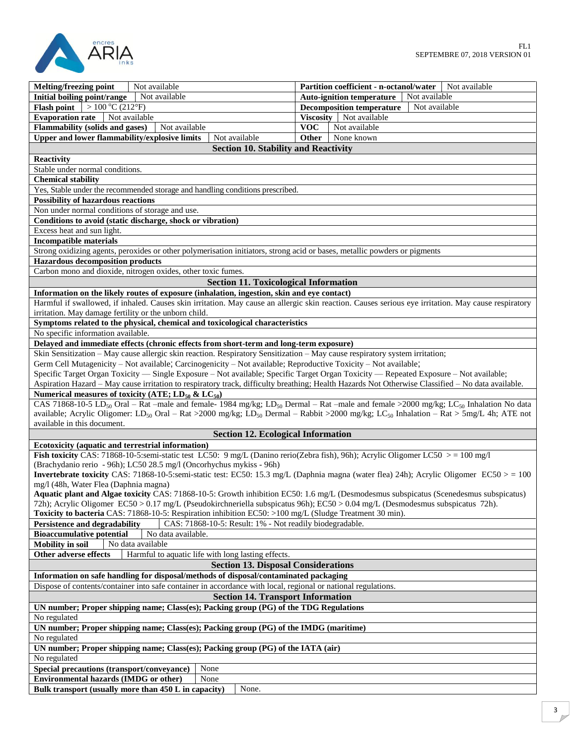

| Not available<br>Melting/freezing point                                                                                                                                                                      | Not available<br>Partition coefficient - n-octanol/water  |  |  |  |  |
|--------------------------------------------------------------------------------------------------------------------------------------------------------------------------------------------------------------|-----------------------------------------------------------|--|--|--|--|
| Not available<br>Initial boiling point/range                                                                                                                                                                 | Not available<br><b>Auto-ignition temperature</b>         |  |  |  |  |
| $\sqrt{ }$ > 100 °C (212°F)<br><b>Flash point</b>                                                                                                                                                            | Not available<br><b>Decomposition temperature</b>         |  |  |  |  |
| <b>Evaporation rate</b><br>Not available<br>Not available                                                                                                                                                    | Viscosity   Not available                                 |  |  |  |  |
| <b>Flammability (solids and gases)</b><br>Upper and lower flammability/explosive limits<br>Not available                                                                                                     | <b>VOC</b><br>Not available<br><b>Other</b><br>None known |  |  |  |  |
|                                                                                                                                                                                                              |                                                           |  |  |  |  |
| <b>Section 10. Stability and Reactivity</b>                                                                                                                                                                  |                                                           |  |  |  |  |
| Reactivity                                                                                                                                                                                                   |                                                           |  |  |  |  |
| Stable under normal conditions.                                                                                                                                                                              |                                                           |  |  |  |  |
| <b>Chemical stability</b>                                                                                                                                                                                    |                                                           |  |  |  |  |
| Yes, Stable under the recommended storage and handling conditions prescribed.                                                                                                                                |                                                           |  |  |  |  |
| <b>Possibility of hazardous reactions</b>                                                                                                                                                                    |                                                           |  |  |  |  |
| Non under normal conditions of storage and use.                                                                                                                                                              |                                                           |  |  |  |  |
| Conditions to avoid (static discharge, shock or vibration)                                                                                                                                                   |                                                           |  |  |  |  |
| Excess heat and sun light.                                                                                                                                                                                   |                                                           |  |  |  |  |
| <b>Incompatible materials</b>                                                                                                                                                                                |                                                           |  |  |  |  |
| Strong oxidizing agents, peroxides or other polymerisation initiators, strong acid or bases, metallic powders or pigments                                                                                    |                                                           |  |  |  |  |
| <b>Hazardous decomposition products</b>                                                                                                                                                                      |                                                           |  |  |  |  |
| Carbon mono and dioxide, nitrogen oxides, other toxic fumes.                                                                                                                                                 |                                                           |  |  |  |  |
| <b>Section 11. Toxicological Information</b>                                                                                                                                                                 |                                                           |  |  |  |  |
| Information on the likely routes of exposure (inhalation, ingestion, skin and eye contact)                                                                                                                   |                                                           |  |  |  |  |
| Harmful if swallowed, if inhaled. Causes skin irritation. May cause an allergic skin reaction. Causes serious eye irritation. May cause respiratory<br>irritation. May damage fertility or the unborn child. |                                                           |  |  |  |  |
| Symptoms related to the physical, chemical and toxicological characteristics                                                                                                                                 |                                                           |  |  |  |  |
| No specific information available.                                                                                                                                                                           |                                                           |  |  |  |  |
| Delayed and immediate effects (chronic effects from short-term and long-term exposure)                                                                                                                       |                                                           |  |  |  |  |
| Skin Sensitization - May cause allergic skin reaction. Respiratory Sensitization - May cause respiratory system irritation;                                                                                  |                                                           |  |  |  |  |
| Germ Cell Mutagenicity – Not available; Carcinogenicity – Not available; Reproductive Toxicity – Not available;                                                                                              |                                                           |  |  |  |  |
| Specific Target Organ Toxicity — Single Exposure - Not available; Specific Target Organ Toxicity — Repeated Exposure - Not available;                                                                        |                                                           |  |  |  |  |
| Aspiration Hazard - May cause irritation to respiratory track, difficulty breathing; Health Hazards Not Otherwise Classified - No data available.                                                            |                                                           |  |  |  |  |
| Numerical measures of toxicity (ATE; $LD_{50}$ & $LC_{50}$ )                                                                                                                                                 |                                                           |  |  |  |  |
| CAS 71868-10-5 LD <sub>50</sub> Oral – Rat –male and female- 1984 mg/kg; LD <sub>50</sub> Dermal – Rat –male and female >2000 mg/kg; LC <sub>50</sub> Inhalation No data                                     |                                                           |  |  |  |  |
| available; Acrylic Oligomer: LD <sub>50</sub> Oral – Rat >2000 mg/kg; LD <sub>50</sub> Dermal – Rabbit >2000 mg/kg; LC <sub>50</sub> Inhalation – Rat > 5mg/L 4h; ATE not                                    |                                                           |  |  |  |  |
| available in this document.                                                                                                                                                                                  |                                                           |  |  |  |  |
| <b>Section 12. Ecological Information</b>                                                                                                                                                                    |                                                           |  |  |  |  |
| Ecotoxicity (aquatic and terrestrial information)                                                                                                                                                            |                                                           |  |  |  |  |
| Fish toxicity CAS: 71868-10-5:semi-static test LC50: 9 mg/L (Danino rerio(Zebra fish), 96h); Acrylic Oligomer LC50 $>$ = 100 mg/l                                                                            |                                                           |  |  |  |  |
| (Brachydanio rerio - 96h); LC50 28.5 mg/l (Oncorhychus mykiss - 96h)                                                                                                                                         |                                                           |  |  |  |  |
| Invertebrate toxicity CAS: 71868-10-5:semi-static test: EC50: 15.3 mg/L (Daphnia magna (water flea) 24h); Acrylic Oligomer EC50 > = 100                                                                      |                                                           |  |  |  |  |
| mg/l (48h, Water Flea (Daphnia magna)                                                                                                                                                                        |                                                           |  |  |  |  |
| Aquatic plant and Algae toxicity CAS: 71868-10-5: Growth inhibition EC50: 1.6 mg/L (Desmodesmus subspicatus (Scenedesmus subspicatus)                                                                        |                                                           |  |  |  |  |
| 72h); Acrylic Oligomer EC50 > 0.17 mg/L (Pseudokirchneriella subspicatus 96h); EC50 > 0.04 mg/L (Desmodesmus subspicatus 72h).                                                                               |                                                           |  |  |  |  |
| Toxicity to bacteria CAS: 71868-10-5: Respiration inhibition EC50: >100 mg/L (Sludge Treatment 30 min).                                                                                                      |                                                           |  |  |  |  |
| <b>Persistence and degradability</b><br>CAS: 71868-10-5: Result: 1% - Not readily biodegradable.                                                                                                             |                                                           |  |  |  |  |
| <b>Bioaccumulative potential</b><br>No data available.                                                                                                                                                       |                                                           |  |  |  |  |
| No data available<br><b>Mobility</b> in soil                                                                                                                                                                 |                                                           |  |  |  |  |
| Harmful to aquatic life with long lasting effects.<br>Other adverse effects                                                                                                                                  |                                                           |  |  |  |  |
| <b>Section 13. Disposal Considerations</b>                                                                                                                                                                   |                                                           |  |  |  |  |
| Information on safe handling for disposal/methods of disposal/contaminated packaging                                                                                                                         |                                                           |  |  |  |  |
| Dispose of contents/container into safe container in accordance with local, regional or national regulations.                                                                                                |                                                           |  |  |  |  |
| <b>Section 14. Transport Information</b>                                                                                                                                                                     |                                                           |  |  |  |  |
| UN number; Proper shipping name; Class(es); Packing group (PG) of the TDG Regulations                                                                                                                        |                                                           |  |  |  |  |
| No regulated                                                                                                                                                                                                 |                                                           |  |  |  |  |
| UN number; Proper shipping name; Class(es); Packing group (PG) of the IMDG (maritime)                                                                                                                        |                                                           |  |  |  |  |
| No regulated                                                                                                                                                                                                 |                                                           |  |  |  |  |
| UN number; Proper shipping name; Class(es); Packing group (PG) of the IATA (air)                                                                                                                             |                                                           |  |  |  |  |
| No regulated                                                                                                                                                                                                 |                                                           |  |  |  |  |
| Special precautions (transport/conveyance)<br>None                                                                                                                                                           |                                                           |  |  |  |  |
| <b>Environmental hazards (IMDG or other)</b><br>None                                                                                                                                                         |                                                           |  |  |  |  |
| Bulk transport (usually more than 450 L in capacity)<br>None.                                                                                                                                                |                                                           |  |  |  |  |